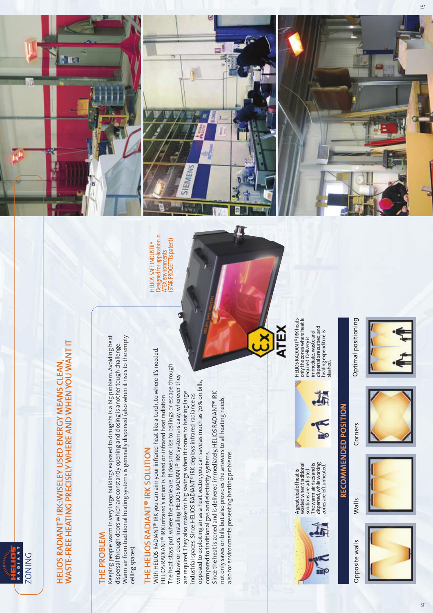#### WASTE-FREE HEATING PRECISELY WHERE AND WHEN YOU WANT IT WASTE-FREE HEATING PRECISELY WHERE AND WHEN YOU WANT IT HELIOS RADIANT® IRK:WISELEY USED ENERGY MEANS CLEAN, HELIOS RADIANT® IRK:WISELEY USED ENERGY MEANS CLEAN

**ITO** 

İ

dispersal through doors which are constantly opening and closing is another tough challenge.<br>Warm air from traditional heating systems is generally dispersed (also when it rises to the empty THE PROBLEM<br>Keeping people warm in very large buildings exposed to draughts is a big problem. Avoiding heat Warm air from traditional heating systems is generally dispersed (also when it rises to the empty Keeping people warm in very large buildings exposed to draughts is a big problem. Avoiding heat dispersal through doors which are constantly opening and closing is another tough challenge. ceiling spaces). ceiling spaces).

# THE HELIOS RADIANT<sup>®</sup> IRK SOLUTION

With HELIOS RADIANT® IRK you can aim your infrared heat like a torch, to where it's needed. With HELIOS RADIANT® IRK you can aim your infrared heat like a torch, to where it's needed. The heat stays put, where the people are. It does not rise to ceilings or escape through The heat stays put, where the people are. It does not rise to ceilings or escape through windows or doors. Installing HELIOS RADIANT® IRK systems is easy, wherever they windows or doors. Installing HELIOS RADIANT® IRK systems is easy, wherever they opposed to exploiting air as a heat vector, you can save as much as 70% on bills, opposed to exploiting air as a heat vector, you can save as much as 70% on bills, are required. They also make for big savings when it comes to heating large<br>industrial spaces. Since HELIOS RADIANT® IRK deploys infrared radiance as Since the heat is zoned and is delivered immediately. HELIOS RADIANT® IRK are required. They also make for big savings when it comes to heating large Since the heat is zoned and is delivered immediately, HELIOS RADIANT® IRK  $\,$ HELIOS RADIANT® IRK infrared's action is based on infrared heat radiation. HELIOS RADIANT® IRK infrared's action is based on infrared heat radiation. Industrial spaces. Since HELIOS RADIANT® IRK deploys infrared radiance as not only saves on bills but also provides the answers to all heating needs, not only saves on bills but also provides the answers to all heating needs, THE HELIOS RADIANT® IRK SOLUTION<br>With Helios Badianus irk voli can aim volit infra*pp* compared to traditional gas and electricity systems. also for environments presenting heating problems. also for environments presenting heating problems. compared to traditional gas and electricity systems.

Designed for application in<br>ATEX environments<br>(STAR PROGETTI's patent) (STAR PROGETTI's patent) **HELIOS SAFE INDUSTRY** HELIOS SAFE INDUSTRY

JEMEN





Optimal positioning















Opposite walls

Corners Walls Opposite walls Optimal positioning **RECOMMENDED POSITION** Walls

Corners

RECOMMENDED POSITION

IN

A great deal of heat is wasted when traditional solutions are adopted. The warm air rises and is dispersed, while working zones are left unheated.

A great deal of heat is<br>wasted when traditional<br>solutions are adopted.<br>is persed, while working<br>dispersed, while working<br>zones are left unheated.

HELIOS RADIANT® IRK heats only the zones where heat is required. Delivery is immediate, waste and dispersal are curbed, and heating expenditure is dispersal are curbed, and<br>heating expenditure is<br>slashed.

**ATEX** 

ř

only the zones where heat is HELIOS RADIANT<sup>®</sup> IRK heats

required. Delivery is<br>immediate, waste and

 $\overline{4}$